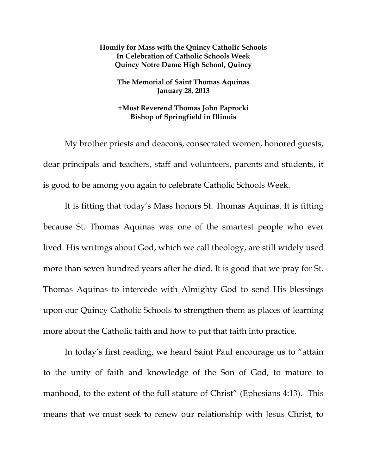## **Homily for Mass with the Quincy Catholic Schools In Celebration of Catholic Schools Week Quincy Notre Dame High School, Quincy**

## **The Memorial of Saint Thomas Aquinas January 28, 2013**

## **+Most Reverend Thomas John Paprocki Bishop of Springfield in Illinois**

My brother priests and deacons, consecrated women, honored guests, dear principals and teachers, staff and volunteers, parents and students, it is good to be among you again to celebrate Catholic Schools Week.

It is fitting that today's Mass honors St. Thomas Aquinas. It is fitting because St. Thomas Aquinas was one of the smartest people who ever lived. His writings about God, which we call theology, are still widely used more than seven hundred years after he died. It is good that we pray for St. Thomas Aquinas to intercede with Almighty God to send His blessings upon our Quincy Catholic Schools to strengthen them as places of learning more about the Catholic faith and how to put that faith into practice.

In today's first reading, we heard Saint Paul encourage us to "attain to the unity of faith and knowledge of the Son of God, to mature to manhood, to the extent of the full stature of Christ" (Ephesians 4:13). This means that we must seek to renew our relationship with Jesus Christ, to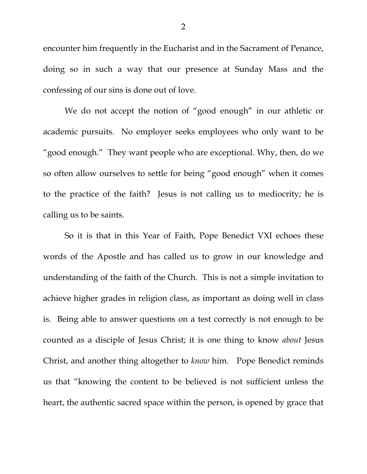encounter him frequently in the Eucharist and in the Sacrament of Penance, doing so in such a way that our presence at Sunday Mass and the confessing of our sins is done out of love.

We do not accept the notion of "good enough" in our athletic or academic pursuits. No employer seeks employees who only want to be "good enough." They want people who are exceptional. Why, then, do we so often allow ourselves to settle for being "good enough" when it comes to the practice of the faith? Jesus is not calling us to mediocrity; he is calling us to be saints.

So it is that in this Year of Faith, Pope Benedict VXI echoes these words of the Apostle and has called us to grow in our knowledge and understanding of the faith of the Church. This is not a simple invitation to achieve higher grades in religion class, as important as doing well in class is. Being able to answer questions on a test correctly is not enough to be counted as a disciple of Jesus Christ; it is one thing to know *about* Jesus Christ, and another thing altogether to *know* him. Pope Benedict reminds us that "knowing the content to be believed is not sufficient unless the heart, the authentic sacred space within the person, is opened by grace that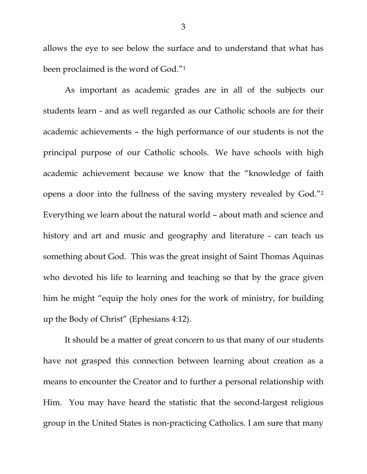allows the eye to see below the surface and to understand that what has been proclaimed is the word of God."1

As important as academic grades are in all of the subjects our students learn - and as well regarded as our Catholic schools are for their academic achievements – the high performance of our students is not the principal purpose of our Catholic schools. We have schools with high academic achievement because we know that the "knowledge of faith opens a door into the fullness of the saving mystery revealed by God."2 Everything we learn about the natural world – about math and science and history and art and music and geography and literature - can teach us something about God. This was the great insight of Saint Thomas Aquinas who devoted his life to learning and teaching so that by the grace given him he might "equip the holy ones for the work of ministry, for building up the Body of Christ" (Ephesians 4:12).

It should be a matter of great concern to us that many of our students have not grasped this connection between learning about creation as a means to encounter the Creator and to further a personal relationship with Him. You may have heard the statistic that the second-largest religious group in the United States is non-practicing Catholics. I am sure that many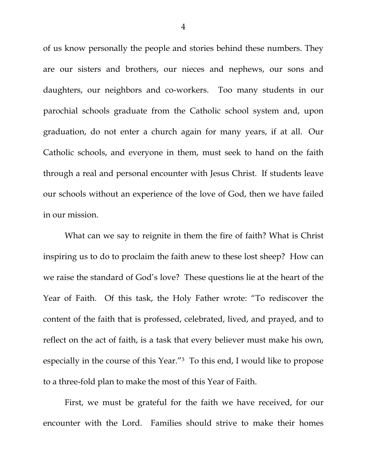of us know personally the people and stories behind these numbers. They are our sisters and brothers, our nieces and nephews, our sons and daughters, our neighbors and co-workers. Too many students in our parochial schools graduate from the Catholic school system and, upon graduation, do not enter a church again for many years, if at all. Our Catholic schools, and everyone in them, must seek to hand on the faith through a real and personal encounter with Jesus Christ. If students leave our schools without an experience of the love of God, then we have failed in our mission.

What can we say to reignite in them the fire of faith? What is Christ inspiring us to do to proclaim the faith anew to these lost sheep? How can we raise the standard of God's love? These questions lie at the heart of the Year of Faith. Of this task, the Holy Father wrote: "To rediscover the content of the faith that is professed, celebrated, lived, and prayed, and to reflect on the act of faith, is a task that every believer must make his own, especially in the course of this Year."3 To this end, I would like to propose to a three-fold plan to make the most of this Year of Faith.

 First, we must be grateful for the faith we have received, for our encounter with the Lord. Families should strive to make their homes

4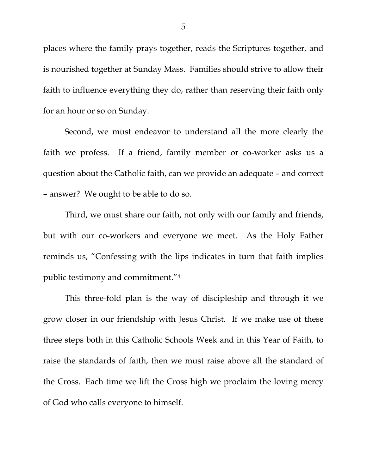places where the family prays together, reads the Scriptures together, and is nourished together at Sunday Mass. Families should strive to allow their faith to influence everything they do, rather than reserving their faith only for an hour or so on Sunday.

 Second, we must endeavor to understand all the more clearly the faith we profess. If a friend, family member or co-worker asks us a question about the Catholic faith, can we provide an adequate – and correct – answer? We ought to be able to do so.

 Third, we must share our faith, not only with our family and friends, but with our co-workers and everyone we meet. As the Holy Father reminds us, "Confessing with the lips indicates in turn that faith implies public testimony and commitment."4

 This three-fold plan is the way of discipleship and through it we grow closer in our friendship with Jesus Christ. If we make use of these three steps both in this Catholic Schools Week and in this Year of Faith, to raise the standards of faith, then we must raise above all the standard of the Cross. Each time we lift the Cross high we proclaim the loving mercy of God who calls everyone to himself.